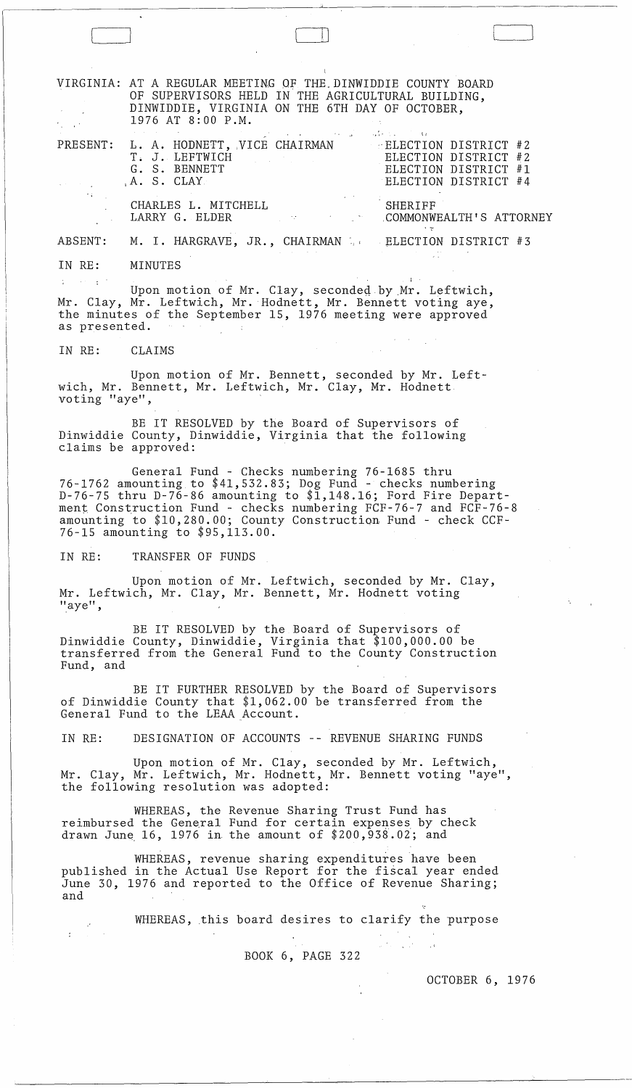VIRGINIA: AT A REGULAR MEETING OF THE DINWIDDIE COUNTY BOARD OF SUPERVISORS HELD IN THE AGRICULTURAL BUILDING, DINWIDDIE, VIRGINIA ON THE 6TH DAY OF OCTOBER, 1976 AT 8:00 P.M.

PRESENT: L. A. HODNETT, VICE CHAIRMAN - ELECTION DISTRICT #2 ELECTION DISTRICT #2 ELECTION DISTRICT #1 ELECTION DISTRICT #4 T. J. LEFTWICH G. S. BENNETT ,A. S. CLAY CHARLES L. MITCHELL LARRY G. ELDER . SHERIFF .COMMONWEALTH'S ATTORNEY

ABSENT: M. I. HARGRAVE, JR., CHAIRMAN . ELECTION DISTRICT #3

IN RE: MINUTES

 $\begin{array}{|c|c|} \hline \quad \quad & \quad \quad \\ \hline \quad \quad & \quad \quad \\ \hline \quad \quad & \quad \quad \\ \hline \quad \quad & \quad \quad \\ \hline \quad \quad & \quad \quad \\ \hline \end{array}$ 

 $\sim 100$  $\sim 10^{-10}$ Upon motion of Mr. Clay, seconded by Mr. Leftwich, Mr. Clay, Mr. Leftwich, Mr. Hodnett, Mr. Bennett voting aye, the minutes of the September 15, 1976 meeting were approved as presented.

IN RE: CLAIMS

Upon motion of Mr. Bennett, seconded by Mr. Leftwich, Mr. Bennett, Mr. Leftwich, Mr. Clay, Mr. Hodnett voting "aye",

BE IT RESOLVED by the Board of Supervisors of Dinwiddie County, Dinwiddie, Virginia that the following claims be approved:

General Fund - Checks numbering 76-1685 thru 76-1762 amounting to \$41,532.83; Dog Fund - checks numbering D-76-75 thru D-76-86 amounting to \$1,148.16; Ford Fire Department Construction Fund - checks numbering FCF-76-7 and FCF-76-8 amounting to \$10,280.00; County Construction Fund - check CCF-76-15 amounting to \$95,113.00.

IN RE: TRANSFER OF FUNDS

Upon motion of Mr. Leftwich, seconded by Mr. Clay, Mr. Leftwich, Mr. Clay, Mr. Bennett, Mr. Hodnett voting "aye",

BE IT RESOLVED by the Board of Supervisors of Dinwiddie County, Dinwiddie, Virginia that \$100,000.00 be transferred from the General Fund to the County Construction Fund, and

BE IT FURTHER RESOLVED by the Board of Supervisors of Dinwiddie County that \$1,062.00 be transferred from the General Fund to the LEAA Account.

IN RE: DESIGNATION OF ACCOUNTS -- REVENUE SHARING FUNDS

Upon motion of Mr. Clay, seconded by Mr. Leftwich, Mr. Clay, Mr. Leftwich, Mr. Hodnett, Mr. Bennett voting "aye", the following resolution was adopted:

WHEREAS, the Revenue Sharing Trust Fund has reimbursed the General Fund for certain expenses by check drawn June  $16$ , 1976 in the amount of  $$200,938.02$ ; and

WHEREAS, revenue sharing expenditures have been published in the Actual Use Report for the fiscal year ended June 30, 1976 and reported to the Office of Revenue Sharing; and

WHEREAS, this board desires to clarify the purpose

 $\mathcal{F}_{\mathcal{A}}$  ,  $\mathcal{F}_{\mathcal{A}}$  ,  $\mathcal{F}_{\mathcal{A}}$ 

BOOK 6, PAGE 322

OCTOBER 6, 1976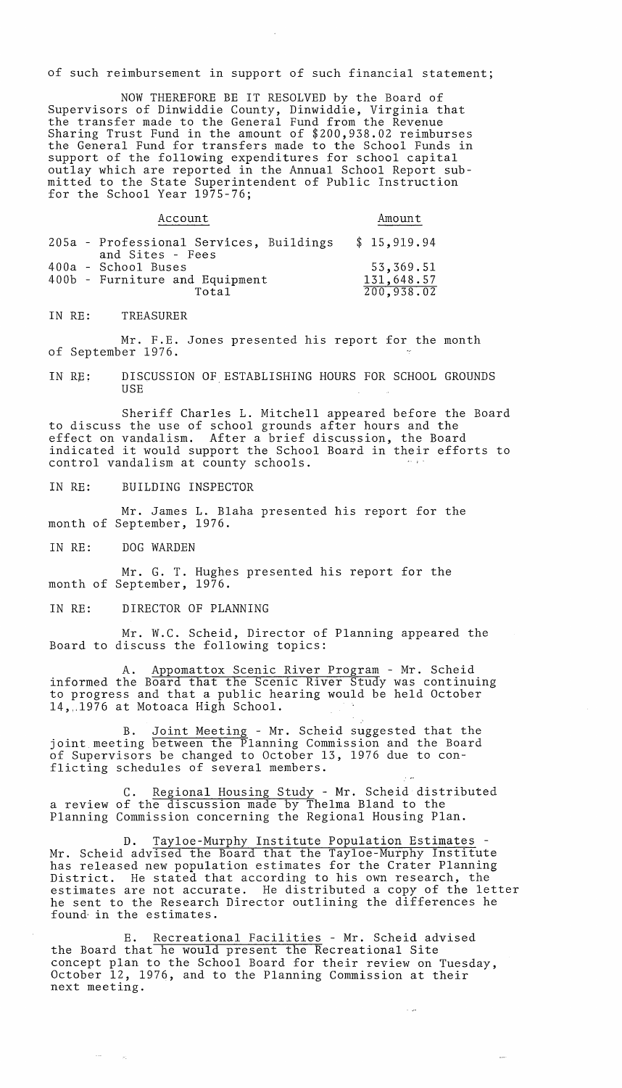of such reimbursement in support of such financial statement;

NOW THEREFORE BE IT RESOLVED by the Board of Supervisors of Dinwiddie County, Dinwiddie, Virginia that the transfer made to the General Fund from the Revenue Sharing Trust Fund in the amount of \$200,938.02 reimburses the General Fund for transfers made to the School Funds in support of the following expenditures for school capital outlay which are reported in the Annual School Report submitted to the State Superintendent of Public Instruction for the School Year 1975-76;

|  | Account                                                     | Amount      |
|--|-------------------------------------------------------------|-------------|
|  | 205a - Professional Services, Buildings<br>and Sites - Fees | \$15,919.94 |
|  | 400a - School Buses                                         | 53,369.51   |
|  | 400b - Furniture and Equipment                              | 131,648.57  |
|  | Total                                                       | 200,938.02  |

IN RE: TREASURER

Mr. F.E. Jones presented his report for the month of September 1976.

IN RE: DISCUSSION OF ESTABLISHING HOURS FOR SCHOOL GROUNDS USE

Sheriff Charles L. Mitchell appeared before the Board to discuss the use of school grounds after hours and the effect on vandalism. After a brief discussion, the Board indicated it would support the School Board in their efforts to control vandalism at county schools.

IN RE: BUILDING INSPECTOR

Mr. James L. Blaha presented his report for the month of September, 1976.

IN RE: DOG WARDEN

Mr. G. T. Hughes presented his report for the month of September, 1976.

IN RE: DIRECTOR OF PLANNING

Mr. W.C. Scheid, Director of Planning appeared the Board to discuss the following topics:

A. Appomattox Scenic River Program - Mr. Scheid informed the Board that the Scenic River Study was continuing to progress and that a public hearing would be held October 14, 1976 at Motoaca High School.

B. Joint Meeting - Mr. Scheid suggested that the joint meeting between the Planning Commission and the Board of Supervisors be changed to October 13, 1976 due to conflicting schedules of several members.

C. Regional Housing Study - Mr. Scheid distributed a review of the discussion made by Thelma Bland to the Planning Commission concerning the Regional Housing Plan.

D. Tayloe-Murphy Institute Population Estimates - Mr. Scheid advised the Board that the Tayloe-Murphy Institute has released new population estimates for the Crater Planning District. He stated that according to his own research, the estimates are not accurate. He distributed a copy of the letter he sent to the Research Director outlining the differences he found in the estimates.

E. Recreational Facilities - Mr. Scheid advised the Board that he would present the Recreational Site concept plan to the School Board for their review on Tuesday, October 12, 1976, and to the Planning Commission at their next meeting.

 $\sim 10^4$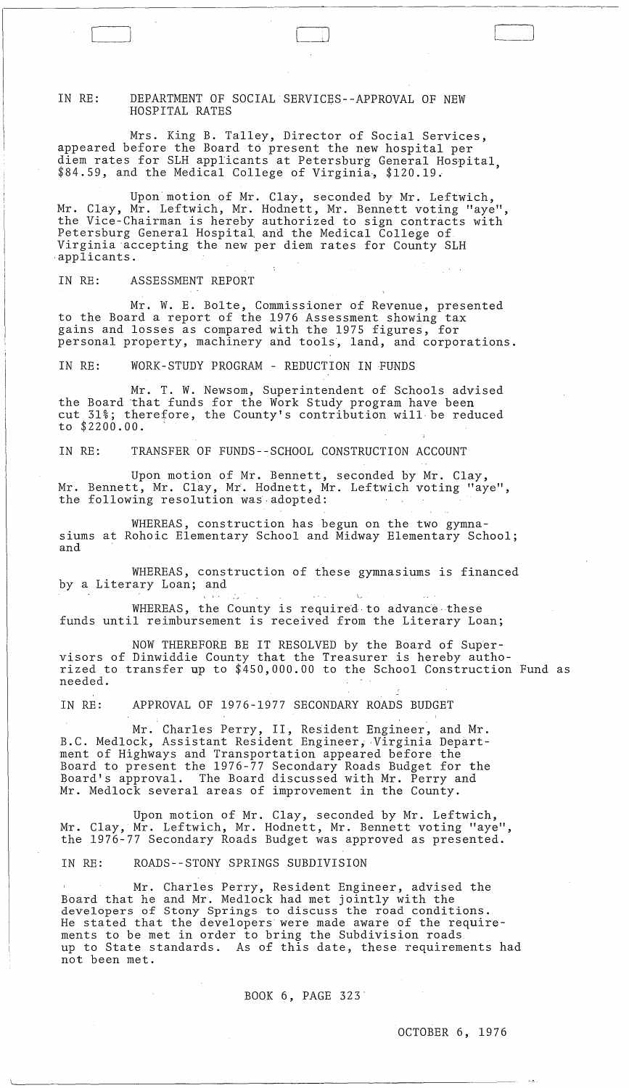IN RE: DEPARTMENT OF SOCIAL SERVICES--APPROVAL OF NEW HOSPITAL RATES

Mrs. King B. Talley, Director of Social Services, appeared before the Board to present the new hospital per diem rates for SLH applicants at Petersburg General Hospital, \$84.59, and the Medical College of Virginia, \$120.19.

Upon motion of Mr. Clay, seconded by Mr. Leftwich, Mr. Clay, Mr. Leftwich, Mr. Hodnett, Mr. Bennett voting "aye", the Vice-Chairman is hereby authorized to sign contracts with Petersburg General Hospital and the Medical College of Virginia "accepting the new per diem rates for County SLH applicants.

IN RE: ASSESSMENT REPORT

Mr. W. E. Bolte, Commissioner of Revenue, presented to the Board a report of the 1976 Assessment showing tax gains and losses as compared with the 1975 figures, for personal property, machinery ahd tools, land, and corporations.

IN RE: WORK-STUDY PROGRAM - REDUCTION IN FUNDS

Mr. T. W. Newsom, Superintendent of Schools advised the Board "that £unds for the Work Study program have been cut 31%; therefore, the County's contribution will"be reduced to \$2200.00.

IN RE: TRANSFER OF FUNDS--SCHOOL CONSTRUCTION ACCOUNT

Upon motipn of Mr. Bennett, seconded by Mr. Clay, Mr. Bennett, Mr. Clay, Mr. Hodnett, Mr. Leftwich voting "aye", the following resolution was adopted:

WHEREAS, construction has begun on the two gymnasiums at Rohoic Elementary School and Midway Elementary School; and

WHEREAS, construction of these gymnasiums is financed by a Literary Loan; and

WHEREAS, the County is required to advance these funds until reimbursement is received from the Literary Loan;

NOW THEREFORE BE IT RESOLVED by the Board of Supervisors of Dinwiddie County that the Treasurer is hereby authorized to transfer up to \$450,000.00 to the School Construction Fund as needed.

IN RE: APPROVAL OF 1976-1977 SECONDARY ROADS BUDGET

Mr. Charles Perry, II, Resident Engineer, and Mr. B.C. Medlock, Assistant Resident Engineer, Virginia Department of Highways and Transportation appeared before the Board to present the 1976-77 Secondary Roads Budget for the Board's approval. The Board discussed with Mr. Perry and Mr. Medlock several areas of improvement in the County.

Upon motion of Mr. Clay, seconded by Mr. Leftwich, Mr. Clay, Mr. Leftwich, Mr. Hodnett, Mr. Bennett voting "aye", the 1976-77 Secondary Roads Budget was approved as presented.

IN RE: ROADS--STONY SPRINGS SUBDIVISION

 $\langle \alpha \rangle$ 

Mr. Charles Perry, Resident Engineer, advised the Board that he and Mr. Medlock had met jointly with the developers of Stony Springs to discuss the road conditions. He stated that the developers were made aware of the requirements to be met in order to bring the Subdivision roads up to State standards. As of this date, these requirements had not been met.

## BOOK 6, PAGE 323"

OCTOBER 6, 1976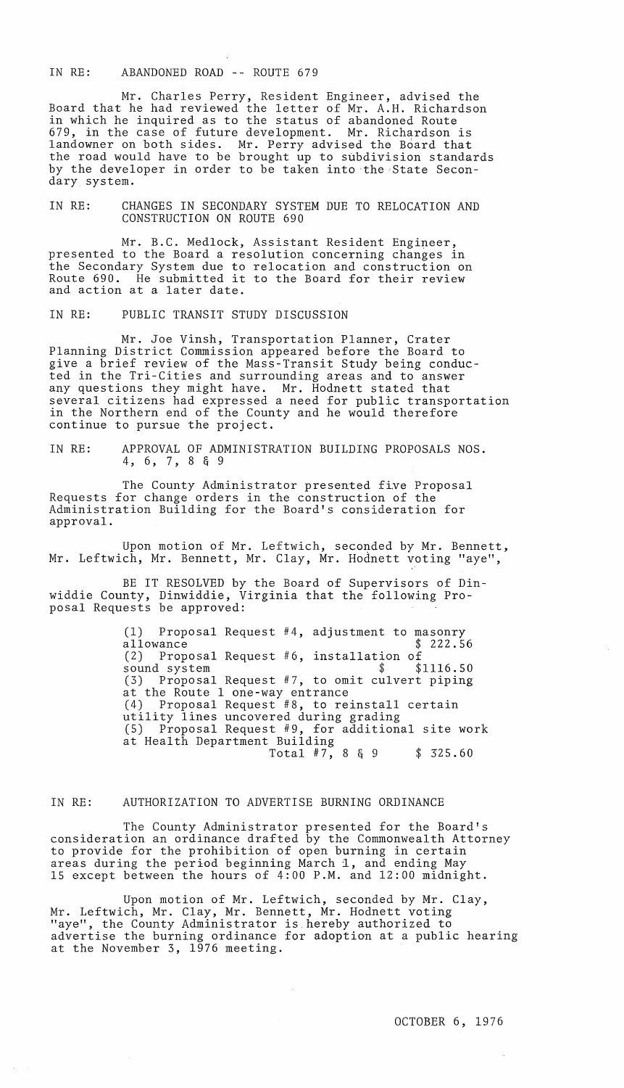IN RE: ABANDONED ROAD -- ROUTE 679

Mr. Charles Perry, Resident Engineer, advised the Board that he had reviewed the letter of Mr. A.H. Richardson in which he inquired as to the status of abandoned Route 679, in the case of future development. Mr. Richardson is landowner on both sides. Mr. Perry advised the Board that the road would have to be brought up to subdivision standards by the developer in order to be taken into the State Secondary system.

IN RE: CHANGES IN SECONDARY SYSTEM DUE TO RELOCATION AND CONSTRUCTION ON ROUTE 690

Mr. B.C. Medlock, Assistant Resident Engineer, presented to the Board a resolution concerning changes in the Secondary System due to relocation and construction on Route 690. He submitted it to the Board for their review and action at a later date.

IN RE: PUBLIC TRANSIT STUDY DISCUSSION

Mr. Joe Vinsh, Transportation Planner, Crater Planning District Commission appeared before the Board to give a brief review of the Mass-Transit Study being conducted in the Tri-Cities and surrounding areas and to answer any questions they might have. Mr. Hodnett stated that several citizens had expressed a need for public transportation in the Northern end of the County and he would therefore continue to pursue the project.

IN RE: APPROVAL OF ADMINISTRATION BUILDING PROPOSALS NOS. 4, 6, 7, 8 & 9

The County Administrator presented five Proposal Requests for change orders in the construction of the Administration Building for the Board's consideration for approval.

Upon motion of Mr. Leftwich, seconded by Mr. Bennett, Mr. Leftwich, Mr. Bennett, Mr. Clay, Mr. Hodnett voting "aye",

BE IT RESOLVED by the Board of Supervisors of Dinwiddie County, Dinwiddie, Virginia that the following Proposal Requests be approved:

> (1) Proposal Request #4, adjustment to masonry allowance \$ 222.56 (2) Proposal Request #6, installation of sound system  $$ 1116.50$ (3) Proposal Request #7, to omit culvert piping at the Route 1 one-way entrance (4) Proposal Request #8, to reinstall certain utility lines uncovered during grading (5) Proposal Request #9, for additional site work at Health Department Building Total #7, 8 & 9 \$ 325.60

## IN RE: AUTHORIZATION TO ADVERTISE BURNING ORDINANCE

The County Administrator presented for the Board's consideration an ordinance drafted by the Commonwealth Attorney to provide for the prohibition of open burning in certain areas during the period beginning March 1, and ending May 15 except between the hours of 4:00 P.M. and 12:00 midnight.

Upon motion of Mr. Leftwich, seconded by Mr. Clay, Mr. Leftwich, Mr. Clay, Mr. Bennett, Mr. Hodnett voting "aye", the County Administrator is. hereby authorized to advertise the burning ordinance for adoption at a public hearing at the November 3, 1976 meeting.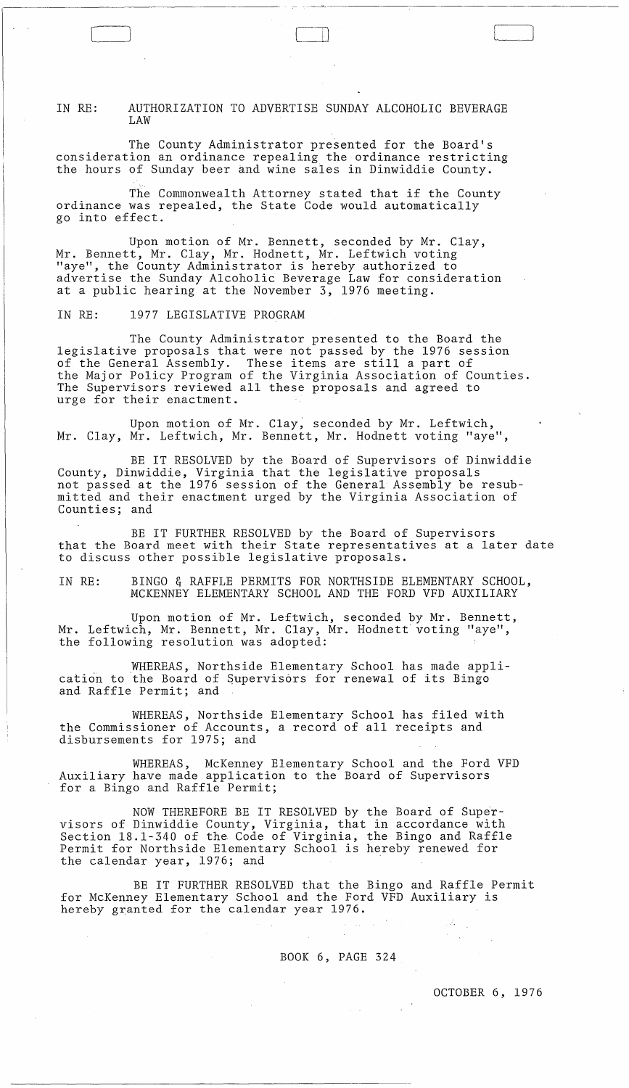IN RE: AUTHORIZATION TO ADVERTISE SUNDAY ALCOHOLIC BEVERAGE LAW

The County Administrator presented for the Board's consideration an ordinance repealing the ordinance restricting the hours of Sunday beer and wine sales in Dinwiddie County.

The Commonwealth Attorney stated that if the County ordinance was repealed, the State Code would automatically go into effect.

Upon motion of Mr. Bennett, seconded by Mr. Clay, Mr. Bennett, Mr. Clay, Mr. Hodnett, Mr. Leftwich voting "aye", the County Administrator is hereby authorized to advertise the Sunday Alcoholic Beverage Law for consideration at a public hearing at the November 3, 1976 meeting.

IN RE: 1977 LEGISLATIVE PROGRAM

 $\bigl[$ 

The County Administrator presented to the Board the legislative proposals that were not passed by the 1976 session of the General Assembly. These items are still a part of of the General Assembly. These items are still a part of<br>the Major Policy Program of the Virginia Association of Counties. The Supervisors reviewed all these proposals and agreed to urge for their enactment.

Upon motion of Mr. Clay, seconded by Mr. Leftwich, Mr. Clay, Mr. Leftwich, Mr. Bennett, Mr. Hodnett voting "aye",

BE IT RESOLVED by the Board of Supervisors of Dinwiddie County, Dinwiddie, Virginia that the legislative proposals not passed at the 1976 session of the General Assembly be resubmitted and their enactment urged by the Virginia Association of Counties; and

BE IT FURTHER RESOLVED by the Board of Supervisors that the Board meet with their State representatives at a later date to discuss other possible legislative proposals.

IN RE: BINGO & RAFFLE PERMITS FOR NORTHSIDE ELEMENTARY SCHOOL, MCKENNEY ELEMENTARY SCHOOL AND THE FORD VFD AUXILIARY

Upon motion of Mr. Leftwich, seconded by Mr. Bennett, Mr. Leftwich, Mr. Bennett, Mr. Clay, Mr. Hodnett voting "aye", the following resolution was adopted:

WHEREAS, Northside Elementary School has made application to the Board of Supervisors for renewal of its Bingo and Raffle Permit; and

WHEREAS, Northside Elementary School has filed with the Commissioner of Accounts, a record of all receipts and disbursements for 1975; and

WHEREAS, McKenney Elementary School and the Ford VFD Auxiliary have made application to the Board of Supervisors for a Bingo and Raffle Permit;

NOW THEREFORE BE IT RESOLVED by the Board of Supervisors of Dinwiddie County, Virginia, that in accordance with Section 18.1-340 of the Code of Virginia, the Bingo and Raffle Permit for Northside Elementary School is hereby renewed for the calendar year, 1976; and

BE IT FURTHER RESOLVED that the Bingo and Raffle Permit for McKenney Elementary School and the Ford VFD Auxiliary is hereby granted for the calendar year 1976.

BOOK 6, PAGE 324

OCTOBER 6, 1976